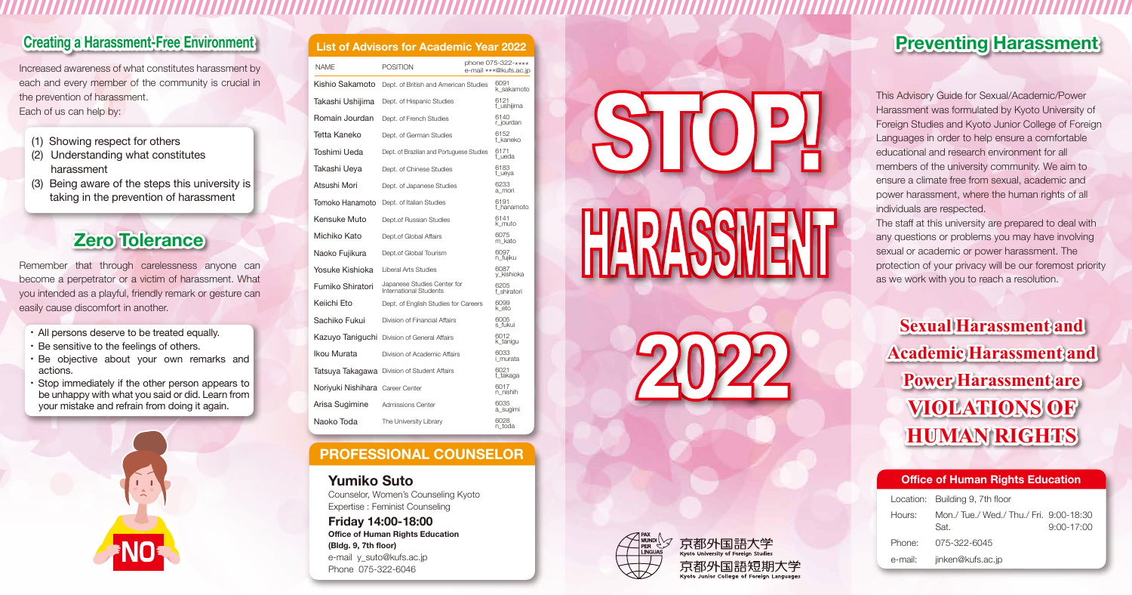## **Creating a Harassment-Free Environment List of Advisors for Academic Year 2022**

Increased awareness of what constitutes harassment by each and every member of the community is crucial in the prevention of harassment. Each of us can help by:

- (1) Showing respect for others
- (2) Understanding what constitutes harassment
- (3) Being aware of the steps this university is taking in the prevention of harassment

# **Zero Tolerance**

Remember that through carelessness anyone can become a perpetrator or a victim of harassment. What you intended as a playful, friendly remark or gesture can easily cause discomfort in another.

- ・ All persons deserve to be treated equally.
- ・ Be sensitive to the feelings of others.
- ・ Be objective about your own remarks and actions.
- ・ Stop immediately if the other person appears to be unhappy with what you said or did. Learn from your mistake and refrain from doing it again.



|  |  | <b>List of Advisors for Academic Year 2022</b> |
|--|--|------------------------------------------------|
|  |  |                                                |

| <b>NAME</b>                      | <b>POSITION</b>                                              | phone 075-322-****<br>e-mail ***@kufs.ac.jp |                     |
|----------------------------------|--------------------------------------------------------------|---------------------------------------------|---------------------|
| Kishio Sakamoto                  | Dept. of British and American Studies                        |                                             | 6091<br>k sakamoto  |
| Takashi Ushijima                 | Dept. of Hispanic Studies                                    |                                             | 6121<br>t_ushijima  |
| Romain Jourdan                   | Dept. of French Studies                                      |                                             | 6140<br>r jourdan   |
| Tetta Kaneko                     | Dept. of German Studies                                      |                                             | 6152<br>t kaneko    |
| Toshimi Ueda                     | Dept. of Brazilian and Portuguese Studies                    |                                             | 6171<br>t ueda      |
| Takashi Ueya                     | Dept. of Chinese Studies                                     |                                             | 6183<br>t_ueya      |
| Atsushi Mori                     | Dept. of Japanese Studies                                    |                                             | 6233<br>a mori      |
| Tomoko Hanamoto                  | Dept. of Italian Studies                                     |                                             | 6191<br>t hanamoto  |
| Kensuke Muto                     | Dept.of Russian Studies                                      |                                             | 6141<br>k muto      |
| Michiko Kato                     | Dept.of Global Affairs                                       |                                             | 6075<br>m kato      |
| Naoko Fujikura                   | Dept.of Global Tourism                                       |                                             | 6097<br>n_fujiku    |
| Yosuke Kishioka                  | Liberal Arts Studies                                         |                                             | 6087<br>y_kishioka  |
| Fumiko Shiratori                 | Japanese Studies Center for<br><b>International Students</b> |                                             | 6205<br>f shiratori |
| Keiichi Fto                      | Dept. of English Studies for Careers                         |                                             | 6099<br>k eto       |
| Sachiko Fukui                    | Division of Financial Affairs                                |                                             | 6005<br>s fukui     |
|                                  | Kazuyo Taniguchi Division of General Affairs                 |                                             | 6012<br>k_tanigu    |
| Ikou Murata                      | Division of Academic Affairs                                 |                                             | 6033<br>i murata    |
|                                  | Tatsuya Takagawa Division of Student Affairs                 |                                             | 6021<br>t_takaga    |
| Noriyuki Nishihara Career Center |                                                              |                                             | 6017<br>n nishih    |
| Arisa Sugimine                   | Admissions Center                                            |                                             | 6035<br>a_sugimi    |
| Naoko Toda                       | The University Library                                       |                                             | 6028<br>n toda      |

#### **PROFESSIONAL COUNSELOR**

#### **Yumiko Suto**

Counselor, Women's Counseling Kyoto Expertise : Feminist Counseling

**Friday 14:00-18:00 Office of Human Rights Education (Bldg. 9, 7th floor)** e-mail y\_suto@kufs.ac.jp Phone 075-322-6046







# **Preventing Harassment**

This Advisory Guide for Sexual/Academic/Power Harassment was formulated by Kyoto University of Foreign Studies and Kyoto Junior College of Foreign Languages in order to help ensure a comfortable educational and research environment for all members of the university community. We aim to ensure a climate free from sexual, academic and power harassment, where the human rights of all individuals are respected.

The staff at this university are prepared to deal with any questions or problems you may have involving sexual or academic or power harassment. The protection of your privacy will be our foremost priority as we work with you to reach a resolution.

**Sexual Harassment and Academic Harassment and Power Harassment are VIOLATIONS OF HUMAN RIGHTS**

#### **Office of Human Rights Education**

|         | Location: Building 9, 7th floor                 |                |  |
|---------|-------------------------------------------------|----------------|--|
| Hours:  | Mon./ Tue./ Wed./ Thu./ Fri. 9:00-18:30<br>Sat. | $9:00 - 17:00$ |  |
|         | Phone: 075-322-6045                             |                |  |
| e-mail: | jinken@kufs.ac.jp                               |                |  |